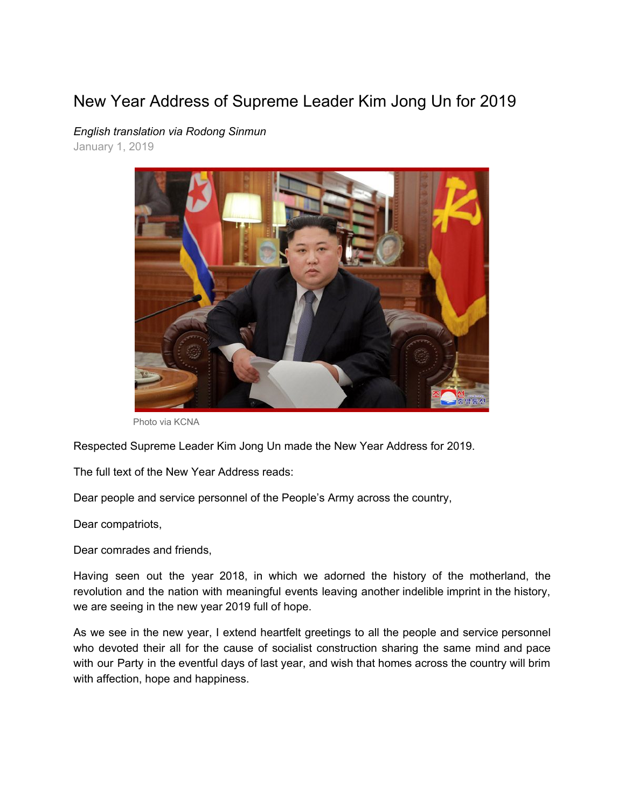## New Year Address of Supreme Leader Kim Jong Un for 2019



*English translation via Rodong Sinmun* January 1, 2019

Photo via KCNA

Respected Supreme Leader Kim Jong Un made the New Year Address for 2019.

The full text of the New Year Address reads:

Dear people and service personnel of the People's Army across the country,

Dear compatriots,

Dear comrades and friends,

Having seen out the year 2018, in which we adorned the history of the motherland, the revolution and the nation with meaningful events leaving another indelible imprint in the history, we are seeing in the new year 2019 full of hope.

As we see in the new year, I extend heartfelt greetings to all the people and service personnel who devoted their all for the cause of socialist construction sharing the same mind and pace with our Party in the eventful days of last year, and wish that homes across the country will brim with affection, hope and happiness.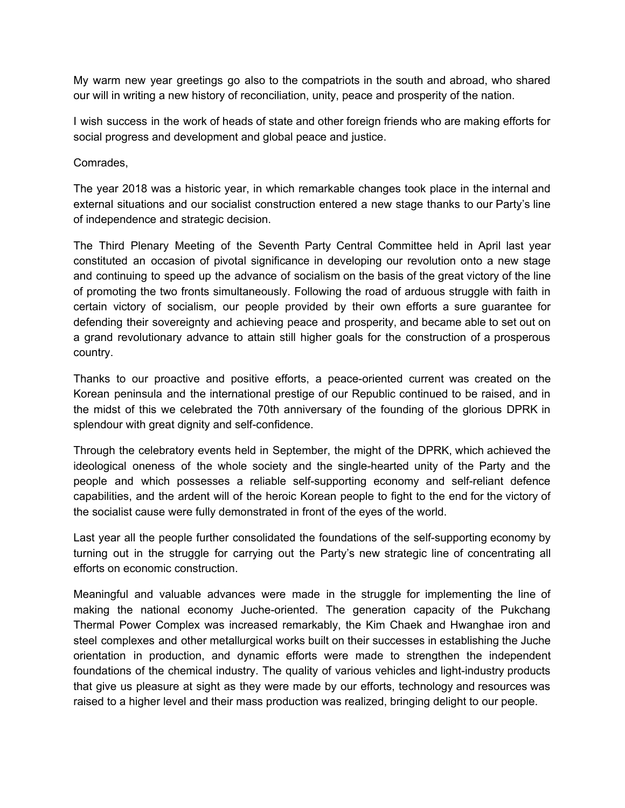My warm new year greetings go also to the compatriots in the south and abroad, who shared our will in writing a new history of reconciliation, unity, peace and prosperity of the nation.

I wish success in the work of heads of state and other foreign friends who are making efforts for social progress and development and global peace and justice.

Comrades,

The year 2018 was a historic year, in which remarkable changes took place in the internal and external situations and our socialist construction entered a new stage thanks to our Party's line of independence and strategic decision.

The Third Plenary Meeting of the Seventh Party Central Committee held in April last year constituted an occasion of pivotal significance in developing our revolution onto a new stage and continuing to speed up the advance of socialism on the basis of the great victory of the line of promoting the two fronts simultaneously. Following the road of arduous struggle with faith in certain victory of socialism, our people provided by their own efforts a sure guarantee for defending their sovereignty and achieving peace and prosperity, and became able to set out on a grand revolutionary advance to attain still higher goals for the construction of a prosperous country.

Thanks to our proactive and positive efforts, a peace-oriented current was created on the Korean peninsula and the international prestige of our Republic continued to be raised, and in the midst of this we celebrated the 70th anniversary of the founding of the glorious DPRK in splendour with great dignity and self-confidence.

Through the celebratory events held in September, the might of the DPRK, which achieved the ideological oneness of the whole society and the single-hearted unity of the Party and the people and which possesses a reliable self-supporting economy and self-reliant defence capabilities, and the ardent will of the heroic Korean people to fight to the end for the victory of the socialist cause were fully demonstrated in front of the eyes of the world.

Last year all the people further consolidated the foundations of the self-supporting economy by turning out in the struggle for carrying out the Party's new strategic line of concentrating all efforts on economic construction.

Meaningful and valuable advances were made in the struggle for implementing the line of making the national economy Juche-oriented. The generation capacity of the Pukchang Thermal Power Complex was increased remarkably, the Kim Chaek and Hwanghae iron and steel complexes and other metallurgical works built on their successes in establishing the Juche orientation in production, and dynamic efforts were made to strengthen the independent foundations of the chemical industry. The quality of various vehicles and light-industry products that give us pleasure at sight as they were made by our efforts, technology and resources was raised to a higher level and their mass production was realized, bringing delight to our people.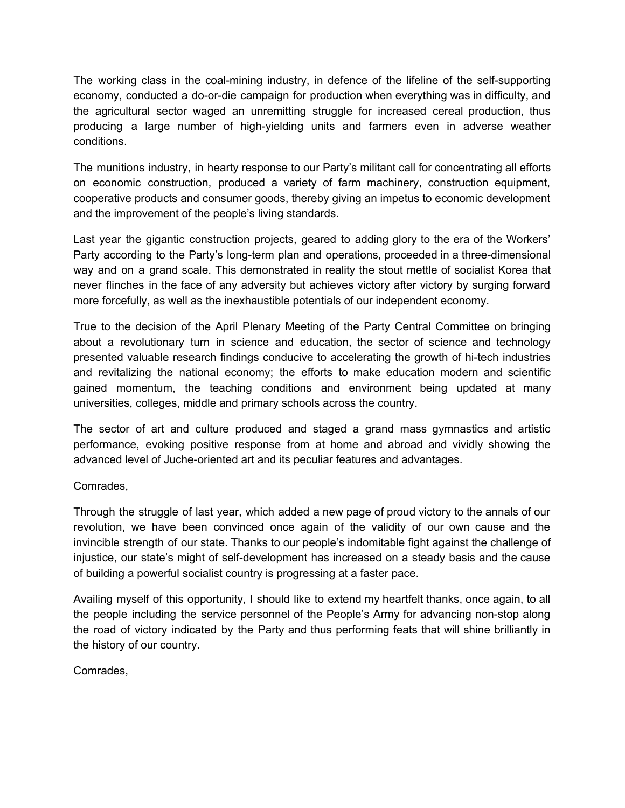The working class in the coal-mining industry, in defence of the lifeline of the self-supporting economy, conducted a do-or-die campaign for production when everything was in difficulty, and the agricultural sector waged an unremitting struggle for increased cereal production, thus producing a large number of high-yielding units and farmers even in adverse weather conditions.

The munitions industry, in hearty response to our Party's militant call for concentrating all efforts on economic construction, produced a variety of farm machinery, construction equipment, cooperative products and consumer goods, thereby giving an impetus to economic development and the improvement of the people's living standards.

Last year the gigantic construction projects, geared to adding glory to the era of the Workers' Party according to the Party's long-term plan and operations, proceeded in a three-dimensional way and on a grand scale. This demonstrated in reality the stout mettle of socialist Korea that never flinches in the face of any adversity but achieves victory after victory by surging forward more forcefully, as well as the inexhaustible potentials of our independent economy.

True to the decision of the April Plenary Meeting of the Party Central Committee on bringing about a revolutionary turn in science and education, the sector of science and technology presented valuable research findings conducive to accelerating the growth of hi-tech industries and revitalizing the national economy; the efforts to make education modern and scientific gained momentum, the teaching conditions and environment being updated at many universities, colleges, middle and primary schools across the country.

The sector of art and culture produced and staged a grand mass gymnastics and artistic performance, evoking positive response from at home and abroad and vividly showing the advanced level of Juche-oriented art and its peculiar features and advantages.

## Comrades,

Through the struggle of last year, which added a new page of proud victory to the annals of our revolution, we have been convinced once again of the validity of our own cause and the invincible strength of our state. Thanks to our people's indomitable fight against the challenge of injustice, our state's might of self-development has increased on a steady basis and the cause of building a powerful socialist country is progressing at a faster pace.

Availing myself of this opportunity, I should like to extend my heartfelt thanks, once again, to all the people including the service personnel of the People's Army for advancing non-stop along the road of victory indicated by the Party and thus performing feats that will shine brilliantly in the history of our country.

Comrades,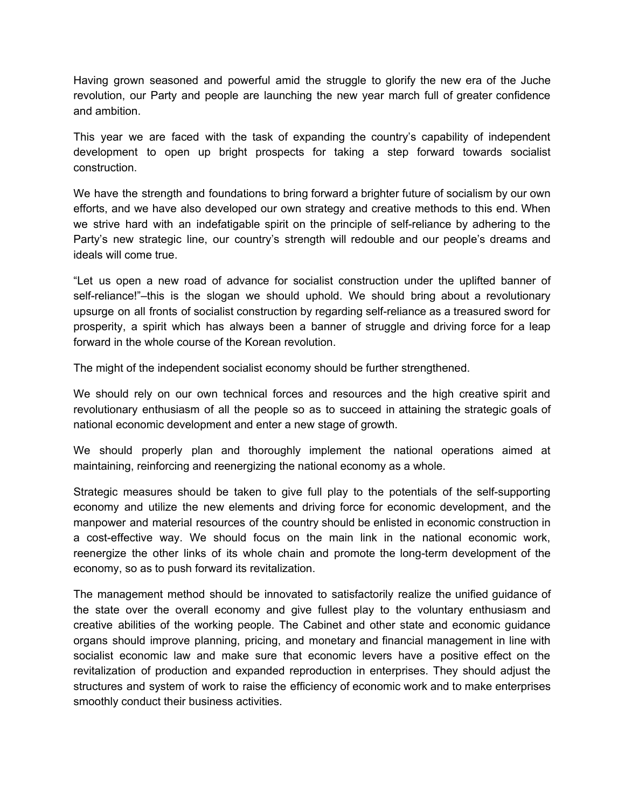Having grown seasoned and powerful amid the struggle to glorify the new era of the Juche revolution, our Party and people are launching the new year march full of greater confidence and ambition.

This year we are faced with the task of expanding the country's capability of independent development to open up bright prospects for taking a step forward towards socialist construction.

We have the strength and foundations to bring forward a brighter future of socialism by our own efforts, and we have also developed our own strategy and creative methods to this end. When we strive hard with an indefatigable spirit on the principle of self-reliance by adhering to the Party's new strategic line, our country's strength will redouble and our people's dreams and ideals will come true.

"Let us open a new road of advance for socialist construction under the uplifted banner of self-reliance!"–this is the slogan we should uphold. We should bring about a revolutionary upsurge on all fronts of socialist construction by regarding self-reliance as a treasured sword for prosperity, a spirit which has always been a banner of struggle and driving force for a leap forward in the whole course of the Korean revolution.

The might of the independent socialist economy should be further strengthened.

We should rely on our own technical forces and resources and the high creative spirit and revolutionary enthusiasm of all the people so as to succeed in attaining the strategic goals of national economic development and enter a new stage of growth.

We should properly plan and thoroughly implement the national operations aimed at maintaining, reinforcing and reenergizing the national economy as a whole.

Strategic measures should be taken to give full play to the potentials of the self-supporting economy and utilize the new elements and driving force for economic development, and the manpower and material resources of the country should be enlisted in economic construction in a cost-effective way. We should focus on the main link in the national economic work, reenergize the other links of its whole chain and promote the long-term development of the economy, so as to push forward its revitalization.

The management method should be innovated to satisfactorily realize the unified guidance of the state over the overall economy and give fullest play to the voluntary enthusiasm and creative abilities of the working people. The Cabinet and other state and economic guidance organs should improve planning, pricing, and monetary and financial management in line with socialist economic law and make sure that economic levers have a positive effect on the revitalization of production and expanded reproduction in enterprises. They should adjust the structures and system of work to raise the efficiency of economic work and to make enterprises smoothly conduct their business activities.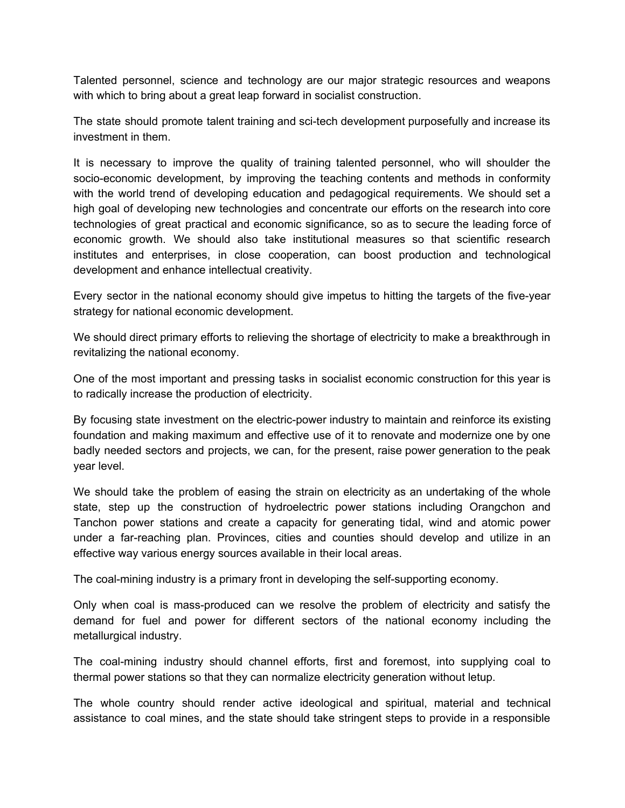Talented personnel, science and technology are our major strategic resources and weapons with which to bring about a great leap forward in socialist construction.

The state should promote talent training and sci-tech development purposefully and increase its investment in them.

It is necessary to improve the quality of training talented personnel, who will shoulder the socio-economic development, by improving the teaching contents and methods in conformity with the world trend of developing education and pedagogical requirements. We should set a high goal of developing new technologies and concentrate our efforts on the research into core technologies of great practical and economic significance, so as to secure the leading force of economic growth. We should also take institutional measures so that scientific research institutes and enterprises, in close cooperation, can boost production and technological development and enhance intellectual creativity.

Every sector in the national economy should give impetus to hitting the targets of the five-year strategy for national economic development.

We should direct primary efforts to relieving the shortage of electricity to make a breakthrough in revitalizing the national economy.

One of the most important and pressing tasks in socialist economic construction for this year is to radically increase the production of electricity.

By focusing state investment on the electric-power industry to maintain and reinforce its existing foundation and making maximum and effective use of it to renovate and modernize one by one badly needed sectors and projects, we can, for the present, raise power generation to the peak year level.

We should take the problem of easing the strain on electricity as an undertaking of the whole state, step up the construction of hydroelectric power stations including Orangchon and Tanchon power stations and create a capacity for generating tidal, wind and atomic power under a far-reaching plan. Provinces, cities and counties should develop and utilize in an effective way various energy sources available in their local areas.

The coal-mining industry is a primary front in developing the self-supporting economy.

Only when coal is mass-produced can we resolve the problem of electricity and satisfy the demand for fuel and power for different sectors of the national economy including the metallurgical industry.

The coal-mining industry should channel efforts, first and foremost, into supplying coal to thermal power stations so that they can normalize electricity generation without letup.

The whole country should render active ideological and spiritual, material and technical assistance to coal mines, and the state should take stringent steps to provide in a responsible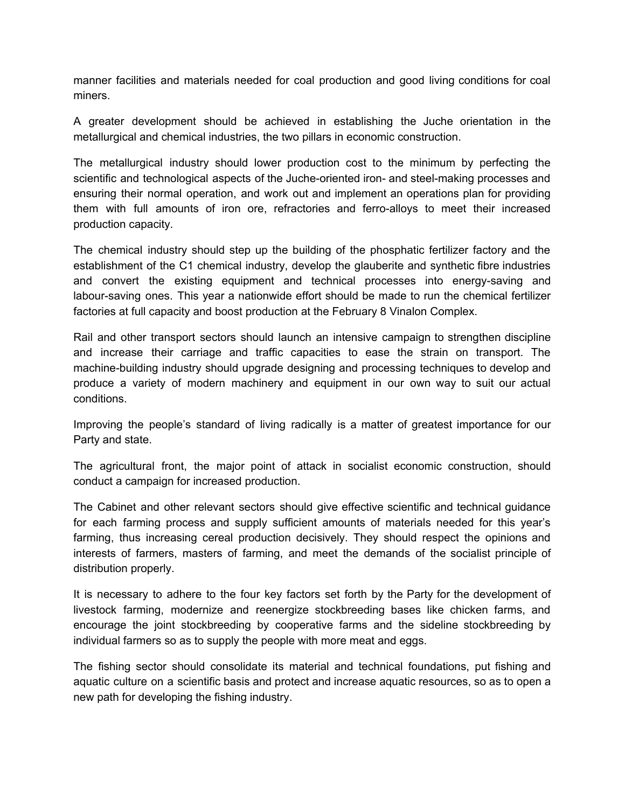manner facilities and materials needed for coal production and good living conditions for coal miners.

A greater development should be achieved in establishing the Juche orientation in the metallurgical and chemical industries, the two pillars in economic construction.

The metallurgical industry should lower production cost to the minimum by perfecting the scientific and technological aspects of the Juche-oriented iron- and steel-making processes and ensuring their normal operation, and work out and implement an operations plan for providing them with full amounts of iron ore, refractories and ferro-alloys to meet their increased production capacity.

The chemical industry should step up the building of the phosphatic fertilizer factory and the establishment of the C1 chemical industry, develop the glauberite and synthetic fibre industries and convert the existing equipment and technical processes into energy-saving and labour-saving ones. This year a nationwide effort should be made to run the chemical fertilizer factories at full capacity and boost production at the February 8 Vinalon Complex.

Rail and other transport sectors should launch an intensive campaign to strengthen discipline and increase their carriage and traffic capacities to ease the strain on transport. The machine-building industry should upgrade designing and processing techniques to develop and produce a variety of modern machinery and equipment in our own way to suit our actual conditions.

Improving the people's standard of living radically is a matter of greatest importance for our Party and state.

The agricultural front, the major point of attack in socialist economic construction, should conduct a campaign for increased production.

The Cabinet and other relevant sectors should give effective scientific and technical guidance for each farming process and supply sufficient amounts of materials needed for this year's farming, thus increasing cereal production decisively. They should respect the opinions and interests of farmers, masters of farming, and meet the demands of the socialist principle of distribution properly.

It is necessary to adhere to the four key factors set forth by the Party for the development of livestock farming, modernize and reenergize stockbreeding bases like chicken farms, and encourage the joint stockbreeding by cooperative farms and the sideline stockbreeding by individual farmers so as to supply the people with more meat and eggs.

The fishing sector should consolidate its material and technical foundations, put fishing and aquatic culture on a scientific basis and protect and increase aquatic resources, so as to open a new path for developing the fishing industry.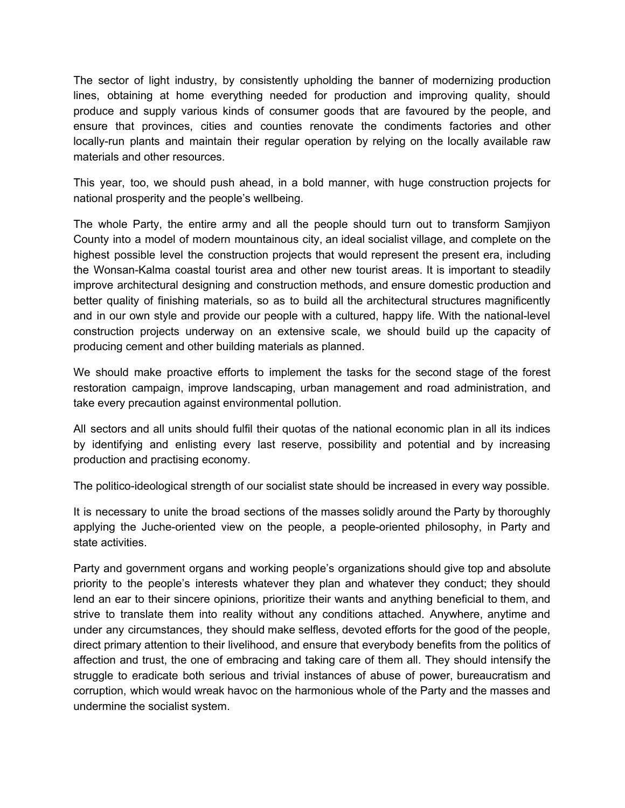The sector of light industry, by consistently upholding the banner of modernizing production lines, obtaining at home everything needed for production and improving quality, should produce and supply various kinds of consumer goods that are favoured by the people, and ensure that provinces, cities and counties renovate the condiments factories and other locally-run plants and maintain their regular operation by relying on the locally available raw materials and other resources.

This year, too, we should push ahead, in a bold manner, with huge construction projects for national prosperity and the people's wellbeing.

The whole Party, the entire army and all the people should turn out to transform Samjiyon County into a model of modern mountainous city, an ideal socialist village, and complete on the highest possible level the construction projects that would represent the present era, including the Wonsan-Kalma coastal tourist area and other new tourist areas. It is important to steadily improve architectural designing and construction methods, and ensure domestic production and better quality of finishing materials, so as to build all the architectural structures magnificently and in our own style and provide our people with a cultured, happy life. With the national-level construction projects underway on an extensive scale, we should build up the capacity of producing cement and other building materials as planned.

We should make proactive efforts to implement the tasks for the second stage of the forest restoration campaign, improve landscaping, urban management and road administration, and take every precaution against environmental pollution.

All sectors and all units should fulfil their quotas of the national economic plan in all its indices by identifying and enlisting every last reserve, possibility and potential and by increasing production and practising economy.

The politico-ideological strength of our socialist state should be increased in every way possible.

It is necessary to unite the broad sections of the masses solidly around the Party by thoroughly applying the Juche-oriented view on the people, a people-oriented philosophy, in Party and state activities.

Party and government organs and working people's organizations should give top and absolute priority to the people's interests whatever they plan and whatever they conduct; they should lend an ear to their sincere opinions, prioritize their wants and anything beneficial to them, and strive to translate them into reality without any conditions attached. Anywhere, anytime and under any circumstances, they should make selfless, devoted efforts for the good of the people, direct primary attention to their livelihood, and ensure that everybody benefits from the politics of affection and trust, the one of embracing and taking care of them all. They should intensify the struggle to eradicate both serious and trivial instances of abuse of power, bureaucratism and corruption, which would wreak havoc on the harmonious whole of the Party and the masses and undermine the socialist system.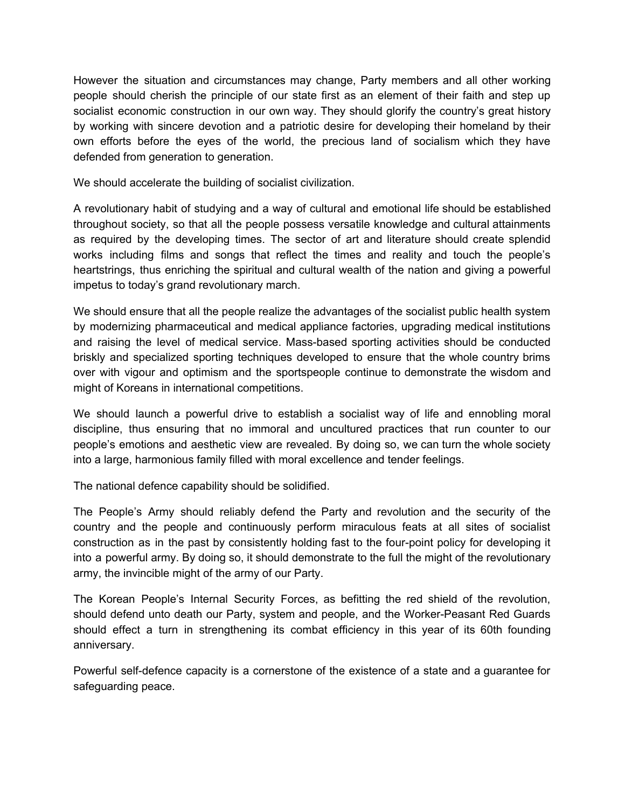However the situation and circumstances may change, Party members and all other working people should cherish the principle of our state first as an element of their faith and step up socialist economic construction in our own way. They should glorify the country's great history by working with sincere devotion and a patriotic desire for developing their homeland by their own efforts before the eyes of the world, the precious land of socialism which they have defended from generation to generation.

We should accelerate the building of socialist civilization.

A revolutionary habit of studying and a way of cultural and emotional life should be established throughout society, so that all the people possess versatile knowledge and cultural attainments as required by the developing times. The sector of art and literature should create splendid works including films and songs that reflect the times and reality and touch the people's heartstrings, thus enriching the spiritual and cultural wealth of the nation and giving a powerful impetus to today's grand revolutionary march.

We should ensure that all the people realize the advantages of the socialist public health system by modernizing pharmaceutical and medical appliance factories, upgrading medical institutions and raising the level of medical service. Mass-based sporting activities should be conducted briskly and specialized sporting techniques developed to ensure that the whole country brims over with vigour and optimism and the sportspeople continue to demonstrate the wisdom and might of Koreans in international competitions.

We should launch a powerful drive to establish a socialist way of life and ennobling moral discipline, thus ensuring that no immoral and uncultured practices that run counter to our people's emotions and aesthetic view are revealed. By doing so, we can turn the whole society into a large, harmonious family filled with moral excellence and tender feelings.

The national defence capability should be solidified.

The People's Army should reliably defend the Party and revolution and the security of the country and the people and continuously perform miraculous feats at all sites of socialist construction as in the past by consistently holding fast to the four-point policy for developing it into a powerful army. By doing so, it should demonstrate to the full the might of the revolutionary army, the invincible might of the army of our Party.

The Korean People's Internal Security Forces, as befitting the red shield of the revolution, should defend unto death our Party, system and people, and the Worker-Peasant Red Guards should effect a turn in strengthening its combat efficiency in this year of its 60th founding anniversary.

Powerful self-defence capacity is a cornerstone of the existence of a state and a guarantee for safeguarding peace.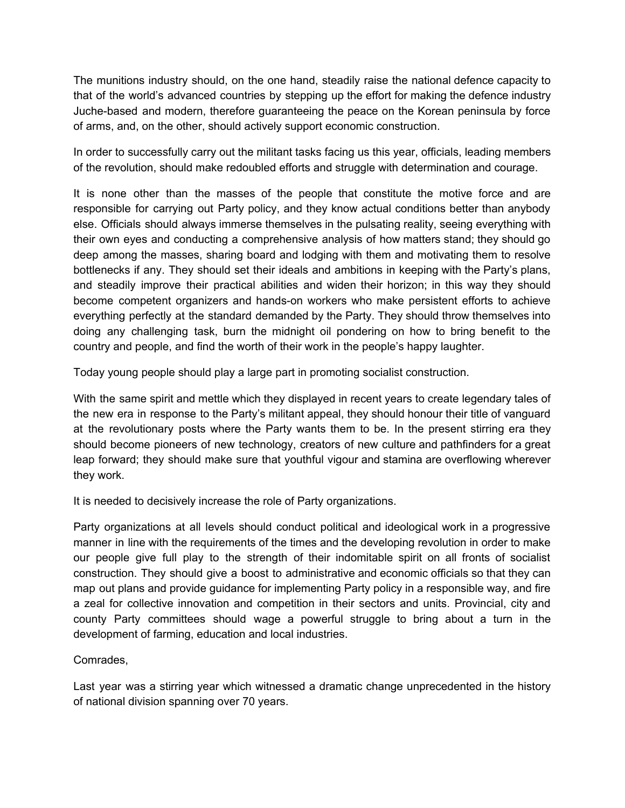The munitions industry should, on the one hand, steadily raise the national defence capacity to that of the world's advanced countries by stepping up the effort for making the defence industry Juche-based and modern, therefore guaranteeing the peace on the Korean peninsula by force of arms, and, on the other, should actively support economic construction.

In order to successfully carry out the militant tasks facing us this year, officials, leading members of the revolution, should make redoubled efforts and struggle with determination and courage.

It is none other than the masses of the people that constitute the motive force and are responsible for carrying out Party policy, and they know actual conditions better than anybody else. Officials should always immerse themselves in the pulsating reality, seeing everything with their own eyes and conducting a comprehensive analysis of how matters stand; they should go deep among the masses, sharing board and lodging with them and motivating them to resolve bottlenecks if any. They should set their ideals and ambitions in keeping with the Party's plans, and steadily improve their practical abilities and widen their horizon; in this way they should become competent organizers and hands-on workers who make persistent efforts to achieve everything perfectly at the standard demanded by the Party. They should throw themselves into doing any challenging task, burn the midnight oil pondering on how to bring benefit to the country and people, and find the worth of their work in the people's happy laughter.

Today young people should play a large part in promoting socialist construction.

With the same spirit and mettle which they displayed in recent years to create legendary tales of the new era in response to the Party's militant appeal, they should honour their title of vanguard at the revolutionary posts where the Party wants them to be. In the present stirring era they should become pioneers of new technology, creators of new culture and pathfinders for a great leap forward; they should make sure that youthful vigour and stamina are overflowing wherever they work.

It is needed to decisively increase the role of Party organizations.

Party organizations at all levels should conduct political and ideological work in a progressive manner in line with the requirements of the times and the developing revolution in order to make our people give full play to the strength of their indomitable spirit on all fronts of socialist construction. They should give a boost to administrative and economic officials so that they can map out plans and provide guidance for implementing Party policy in a responsible way, and fire a zeal for collective innovation and competition in their sectors and units. Provincial, city and county Party committees should wage a powerful struggle to bring about a turn in the development of farming, education and local industries.

## Comrades,

Last year was a stirring year which witnessed a dramatic change unprecedented in the history of national division spanning over 70 years.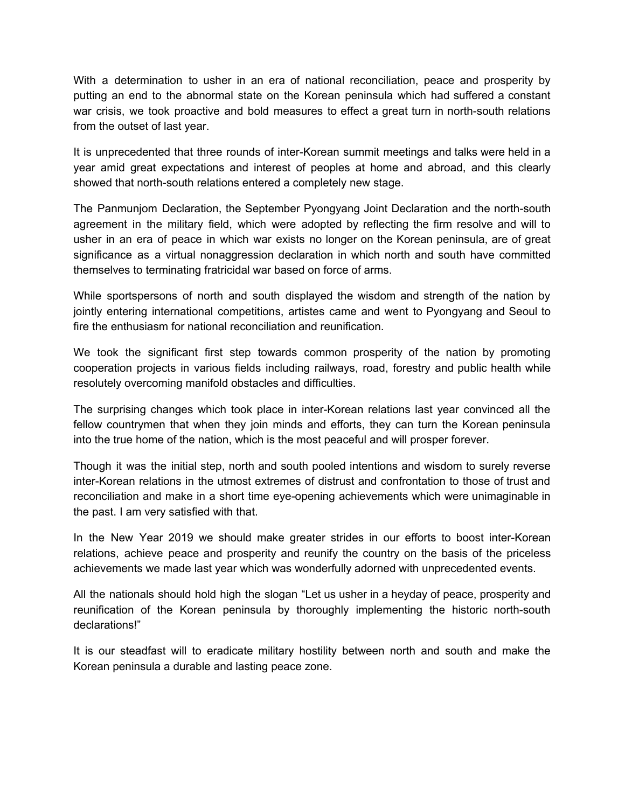With a determination to usher in an era of national reconciliation, peace and prosperity by putting an end to the abnormal state on the Korean peninsula which had suffered a constant war crisis, we took proactive and bold measures to effect a great turn in north-south relations from the outset of last year.

It is unprecedented that three rounds of inter-Korean summit meetings and talks were held in a year amid great expectations and interest of peoples at home and abroad, and this clearly showed that north-south relations entered a completely new stage.

The Panmunjom Declaration, the September Pyongyang Joint Declaration and the north-south agreement in the military field, which were adopted by reflecting the firm resolve and will to usher in an era of peace in which war exists no longer on the Korean peninsula, are of great significance as a virtual nonaggression declaration in which north and south have committed themselves to terminating fratricidal war based on force of arms.

While sportspersons of north and south displayed the wisdom and strength of the nation by jointly entering international competitions, artistes came and went to Pyongyang and Seoul to fire the enthusiasm for national reconciliation and reunification.

We took the significant first step towards common prosperity of the nation by promoting cooperation projects in various fields including railways, road, forestry and public health while resolutely overcoming manifold obstacles and difficulties.

The surprising changes which took place in inter-Korean relations last year convinced all the fellow countrymen that when they join minds and efforts, they can turn the Korean peninsula into the true home of the nation, which is the most peaceful and will prosper forever.

Though it was the initial step, north and south pooled intentions and wisdom to surely reverse inter-Korean relations in the utmost extremes of distrust and confrontation to those of trust and reconciliation and make in a short time eye-opening achievements which were unimaginable in the past. I am very satisfied with that.

In the New Year 2019 we should make greater strides in our efforts to boost inter-Korean relations, achieve peace and prosperity and reunify the country on the basis of the priceless achievements we made last year which was wonderfully adorned with unprecedented events.

All the nationals should hold high the slogan "Let us usher in a heyday of peace, prosperity and reunification of the Korean peninsula by thoroughly implementing the historic north-south declarations!"

It is our steadfast will to eradicate military hostility between north and south and make the Korean peninsula a durable and lasting peace zone.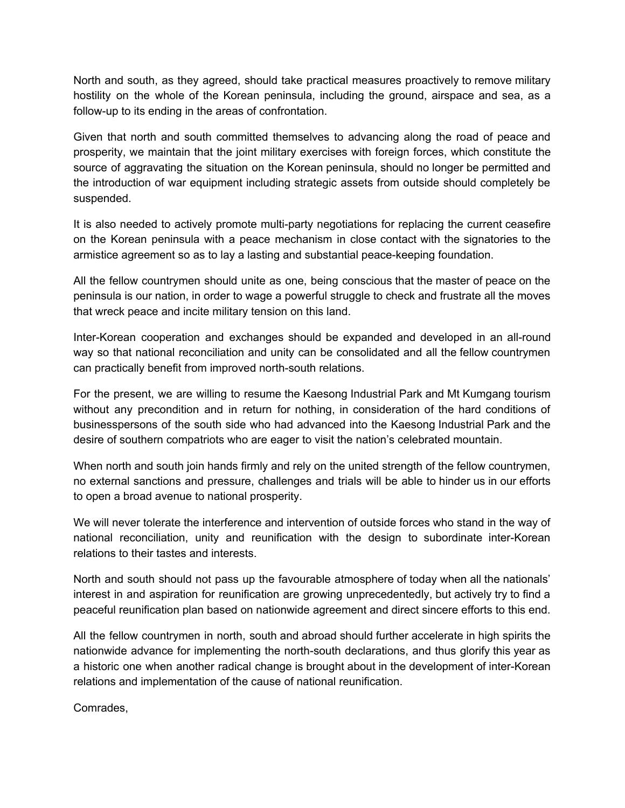North and south, as they agreed, should take practical measures proactively to remove military hostility on the whole of the Korean peninsula, including the ground, airspace and sea, as a follow-up to its ending in the areas of confrontation.

Given that north and south committed themselves to advancing along the road of peace and prosperity, we maintain that the joint military exercises with foreign forces, which constitute the source of aggravating the situation on the Korean peninsula, should no longer be permitted and the introduction of war equipment including strategic assets from outside should completely be suspended.

It is also needed to actively promote multi-party negotiations for replacing the current ceasefire on the Korean peninsula with a peace mechanism in close contact with the signatories to the armistice agreement so as to lay a lasting and substantial peace-keeping foundation.

All the fellow countrymen should unite as one, being conscious that the master of peace on the peninsula is our nation, in order to wage a powerful struggle to check and frustrate all the moves that wreck peace and incite military tension on this land.

Inter-Korean cooperation and exchanges should be expanded and developed in an all-round way so that national reconciliation and unity can be consolidated and all the fellow countrymen can practically benefit from improved north-south relations.

For the present, we are willing to resume the Kaesong Industrial Park and Mt Kumgang tourism without any precondition and in return for nothing, in consideration of the hard conditions of businesspersons of the south side who had advanced into the Kaesong Industrial Park and the desire of southern compatriots who are eager to visit the nation's celebrated mountain.

When north and south join hands firmly and rely on the united strength of the fellow countrymen, no external sanctions and pressure, challenges and trials will be able to hinder us in our efforts to open a broad avenue to national prosperity.

We will never tolerate the interference and intervention of outside forces who stand in the way of national reconciliation, unity and reunification with the design to subordinate inter-Korean relations to their tastes and interests.

North and south should not pass up the favourable atmosphere of today when all the nationals' interest in and aspiration for reunification are growing unprecedentedly, but actively try to find a peaceful reunification plan based on nationwide agreement and direct sincere efforts to this end.

All the fellow countrymen in north, south and abroad should further accelerate in high spirits the nationwide advance for implementing the north-south declarations, and thus glorify this year as a historic one when another radical change is brought about in the development of inter-Korean relations and implementation of the cause of national reunification.

Comrades,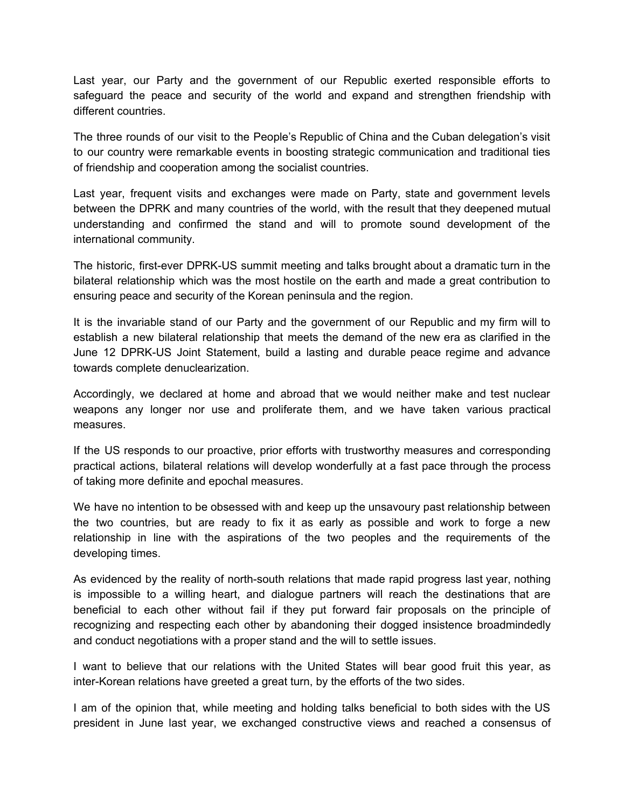Last year, our Party and the government of our Republic exerted responsible efforts to safeguard the peace and security of the world and expand and strengthen friendship with different countries.

The three rounds of our visit to the People's Republic of China and the Cuban delegation's visit to our country were remarkable events in boosting strategic communication and traditional ties of friendship and cooperation among the socialist countries.

Last year, frequent visits and exchanges were made on Party, state and government levels between the DPRK and many countries of the world, with the result that they deepened mutual understanding and confirmed the stand and will to promote sound development of the international community.

The historic, first-ever DPRK-US summit meeting and talks brought about a dramatic turn in the bilateral relationship which was the most hostile on the earth and made a great contribution to ensuring peace and security of the Korean peninsula and the region.

It is the invariable stand of our Party and the government of our Republic and my firm will to establish a new bilateral relationship that meets the demand of the new era as clarified in the June 12 DPRK-US Joint Statement, build a lasting and durable peace regime and advance towards complete denuclearization.

Accordingly, we declared at home and abroad that we would neither make and test nuclear weapons any longer nor use and proliferate them, and we have taken various practical measures.

If the US responds to our proactive, prior efforts with trustworthy measures and corresponding practical actions, bilateral relations will develop wonderfully at a fast pace through the process of taking more definite and epochal measures.

We have no intention to be obsessed with and keep up the unsavoury past relationship between the two countries, but are ready to fix it as early as possible and work to forge a new relationship in line with the aspirations of the two peoples and the requirements of the developing times.

As evidenced by the reality of north-south relations that made rapid progress last year, nothing is impossible to a willing heart, and dialogue partners will reach the destinations that are beneficial to each other without fail if they put forward fair proposals on the principle of recognizing and respecting each other by abandoning their dogged insistence broadmindedly and conduct negotiations with a proper stand and the will to settle issues.

I want to believe that our relations with the United States will bear good fruit this year, as inter-Korean relations have greeted a great turn, by the efforts of the two sides.

I am of the opinion that, while meeting and holding talks beneficial to both sides with the US president in June last year, we exchanged constructive views and reached a consensus of